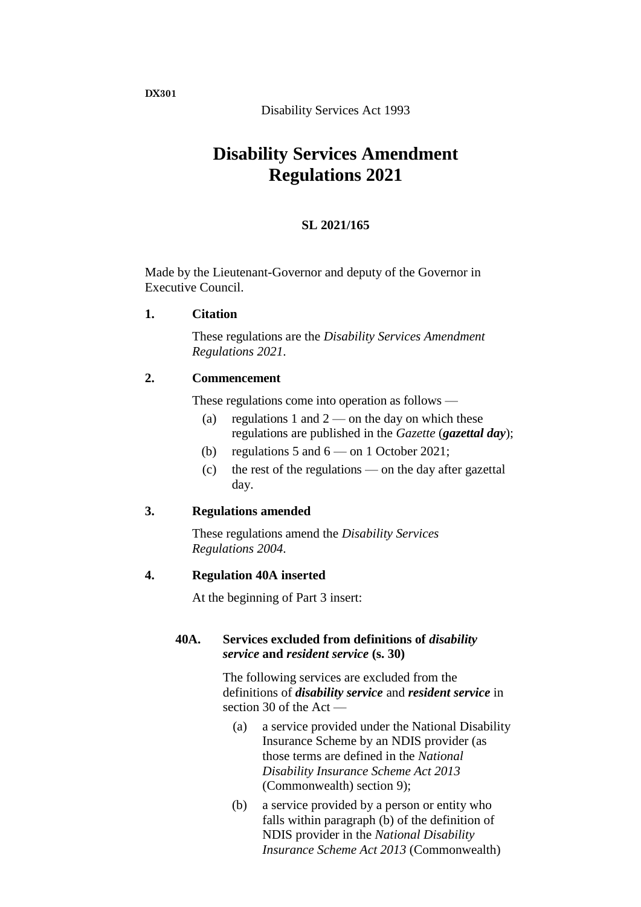Disability Services Act 1993

# **Disability Services Amendment Regulations 2021**

# **SL 2021/165**

Made by the Lieutenant-Governor and deputy of the Governor in Executive Council.

# **1. Citation**

These regulations are the *Disability Services Amendment Regulations 2021*.

#### **2. Commencement**

These regulations come into operation as follows —

- (a) regulations 1 and  $2$  on the day on which these regulations are published in the *Gazette* (*gazettal day*);
- (b) regulations 5 and  $6 -$  on 1 October 2021;
- (c) the rest of the regulations on the day after gazettal day.

#### **3. Regulations amended**

These regulations amend the *Disability Services Regulations 2004*.

#### **4. Regulation 40A inserted**

At the beginning of Part 3 insert:

#### **40A. Services excluded from definitions of** *disability service* **and** *resident service* **(s. 30)**

The following services are excluded from the definitions of *disability service* and *resident service* in section 30 of the Act —

- (a) a service provided under the National Disability Insurance Scheme by an NDIS provider (as those terms are defined in the *National Disability Insurance Scheme Act 2013* (Commonwealth) section 9);
- (b) a service provided by a person or entity who falls within paragraph (b) of the definition of NDIS provider in the *National Disability Insurance Scheme Act 2013* (Commonwealth)

**DX301**